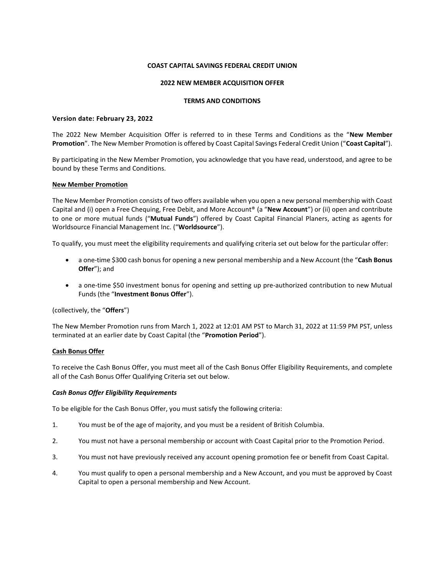#### **COAST CAPITAL SAVINGS FEDERAL CREDIT UNION**

## **2022 NEW MEMBER ACQUISITION OFFER**

### **TERMS AND CONDITIONS**

### **Version date: February 23, 2022**

The 2022 New Member Acquisition Offer is referred to in these Terms and Conditions as the "**New Member Promotion**". The New Member Promotion is offered by Coast Capital Savings Federal Credit Union ("**Coast Capital**").

By participating in the New Member Promotion, you acknowledge that you have read, understood, and agree to be bound by these Terms and Conditions.

## **New Member Promotion**

The New Member Promotion consists of two offers available when you open a new personal membership with Coast Capital and (i) open a Free Chequing, Free Debit, and More Account® (a "**New Account**") or (ii) open and contribute to one or more mutual funds ("**Mutual Funds**") offered by Coast Capital Financial Planers, acting as agents for Worldsource Financial Management Inc. ("**Worldsource**").

To qualify, you must meet the eligibility requirements and qualifying criteria set out below for the particular offer:

- a one-time \$300 cash bonus for opening a new personal membership and a New Account (the "**Cash Bonus Offer**"); and
- a one-time \$50 investment bonus for opening and setting up pre-authorized contribution to new Mutual Funds (the "**Investment Bonus Offer**").

(collectively, the "**Offers**")

The New Member Promotion runs from March 1, 2022 at 12:01 AM PST to March 31, 2022 at 11:59 PM PST, unless terminated at an earlier date by Coast Capital (the "**Promotion Period**").

# **Cash Bonus Offer**

To receive the Cash Bonus Offer, you must meet all of the Cash Bonus Offer Eligibility Requirements, and complete all of the Cash Bonus Offer Qualifying Criteria set out below.

#### *Cash Bonus Offer Eligibility Requirements*

To be eligible for the Cash Bonus Offer, you must satisfy the following criteria:

- 1. You must be of the age of majority, and you must be a resident of British Columbia.
- 2. You must not have a personal membership or account with Coast Capital prior to the Promotion Period.
- 3. You must not have previously received any account opening promotion fee or benefit from Coast Capital.
- 4. You must qualify to open a personal membership and a New Account, and you must be approved by Coast Capital to open a personal membership and New Account.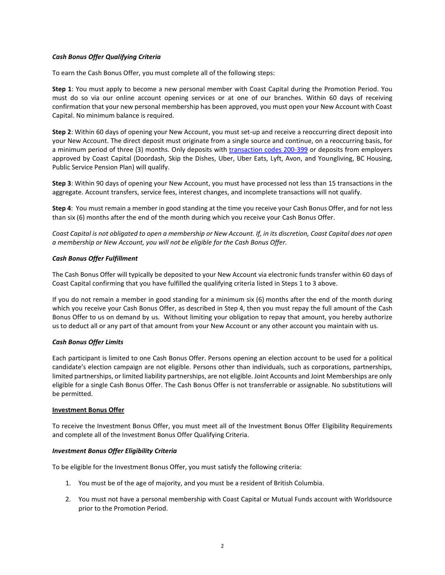# *Cash Bonus Offer Qualifying Criteria*

To earn the Cash Bonus Offer, you must complete all of the following steps:

**Step 1**: You must apply to become a new personal member with Coast Capital during the Promotion Period. You must do so via our online account opening services or at one of our branches. Within 60 days of receiving confirmation that your new personal membership has been approved, you must open your New Account with Coast Capital. No minimum balance is required.

**Step 2**: Within 60 days of opening your New Account, you must set-up and receive a reoccurring direct deposit into your New Account. The direct deposit must originate from a single source and continue, on a reoccurring basis, for a minimum period of three (3) months. Only deposits with [transaction codes 200-399](https://www.payments.ca/sites/default/files/standard007eng.pdf) or deposits from employers approved by Coast Capital (Doordash, Skip the Dishes, Uber, Uber Eats, Lyft, Avon, and Youngliving, BC Housing, Public Service Pension Plan) will qualify.

**Step 3**: Within 90 days of opening your New Account, you must have processed not less than 15 transactions in the aggregate. Account transfers, service fees, interest changes, and incomplete transactions will not qualify.

**Step 4**: You must remain a member in good standing at the time you receive your Cash Bonus Offer, and for not less than six (6) months after the end of the month during which you receive your Cash Bonus Offer.

*Coast Capital is not obligated to open a membership or New Account. If, in its discretion, Coast Capital does not open a membership or New Account, you will not be eligible for the Cash Bonus Offer.* 

## *Cash Bonus Offer Fulfillment*

The Cash Bonus Offer will typically be deposited to your New Account via electronic funds transfer within 60 days of Coast Capital confirming that you have fulfilled the qualifying criteria listed in Steps 1 to 3 above.

If you do not remain a member in good standing for a minimum six (6) months after the end of the month during which you receive your Cash Bonus Offer, as described in Step 4, then you must repay the full amount of the Cash Bonus Offer to us on demand by us. Without limiting your obligation to repay that amount, you hereby authorize us to deduct all or any part of that amount from your New Account or any other account you maintain with us.

#### *Cash Bonus Offer Limits*

Each participant is limited to one Cash Bonus Offer. Persons opening an election account to be used for a political candidate's election campaign are not eligible. Persons other than individuals, such as corporations, partnerships, limited partnerships, or limited liability partnerships, are not eligible. Joint Accounts and Joint Memberships are only eligible for a single Cash Bonus Offer. The Cash Bonus Offer is not transferrable or assignable. No substitutions will be permitted.

#### **Investment Bonus Offer**

To receive the Investment Bonus Offer, you must meet all of the Investment Bonus Offer Eligibility Requirements and complete all of the Investment Bonus Offer Qualifying Criteria.

# *Investment Bonus Offer Eligibility Criteria*

To be eligible for the Investment Bonus Offer, you must satisfy the following criteria:

- 1. You must be of the age of majority, and you must be a resident of British Columbia.
- 2. You must not have a personal membership with Coast Capital or Mutual Funds account with Worldsource prior to the Promotion Period.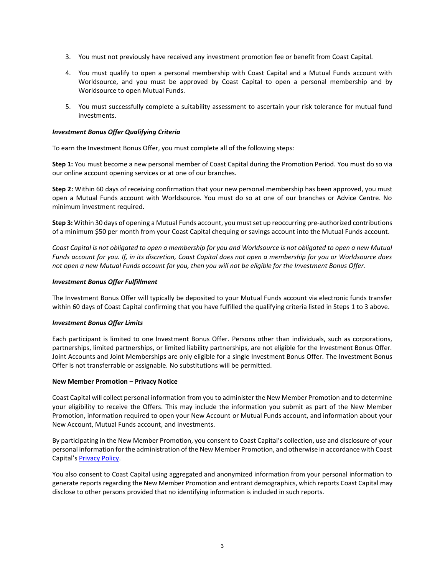- 3. You must not previously have received any investment promotion fee or benefit from Coast Capital.
- 4. You must qualify to open a personal membership with Coast Capital and a Mutual Funds account with Worldsource, and you must be approved by Coast Capital to open a personal membership and by Worldsource to open Mutual Funds.
- 5. You must successfully complete a suitability assessment to ascertain your risk tolerance for mutual fund investments.

## *Investment Bonus Offer Qualifying Criteria*

To earn the Investment Bonus Offer, you must complete all of the following steps:

**Step 1:** You must become a new personal member of Coast Capital during the Promotion Period. You must do so via our online account opening services or at one of our branches.

**Step 2:** Within 60 days of receiving confirmation that your new personal membership has been approved, you must open a Mutual Funds account with Worldsource. You must do so at one of our branches or Advice Centre. No minimum investment required.

**Step 3:** Within 30 days of opening a Mutual Funds account, you must set up reoccurring pre-authorized contributions of a minimum \$50 per month from your Coast Capital chequing or savings account into the Mutual Funds account.

*Coast Capital is not obligated to open a membership for you and Worldsource is not obligated to open a new Mutual Funds account for you. If, in its discretion, Coast Capital does not open a membership for you or Worldsource does not open a new Mutual Funds account for you, then you will not be eligible for the Investment Bonus Offer.*

## *Investment Bonus Offer Fulfillment*

The Investment Bonus Offer will typically be deposited to your Mutual Funds account via electronic funds transfer within 60 days of Coast Capital confirming that you have fulfilled the qualifying criteria listed in Steps 1 to 3 above.

#### *Investment Bonus Offer Limits*

Each participant is limited to one Investment Bonus Offer. Persons other than individuals, such as corporations, partnerships, limited partnerships, or limited liability partnerships, are not eligible for the Investment Bonus Offer. Joint Accounts and Joint Memberships are only eligible for a single Investment Bonus Offer. The Investment Bonus Offer is not transferrable or assignable. No substitutions will be permitted.

#### **New Member Promotion – Privacy Notice**

Coast Capital will collect personal information from you to administer the New Member Promotion and to determine your eligibility to receive the Offers. This may include the information you submit as part of the New Member Promotion, information required to open your New Account or Mutual Funds account, and information about your New Account, Mutual Funds account, and investments.

By participating in the New Member Promotion, you consent to Coast Capital's collection, use and disclosure of your personal information for the administration of the New Member Promotion, and otherwise in accordance with Coast Capital's [Privacy Policy.](https://www.coastcapitalsavings.com/privacy/privacy-policy)

You also consent to Coast Capital using aggregated and anonymized information from your personal information to generate reports regarding the New Member Promotion and entrant demographics, which reports Coast Capital may disclose to other persons provided that no identifying information is included in such reports.